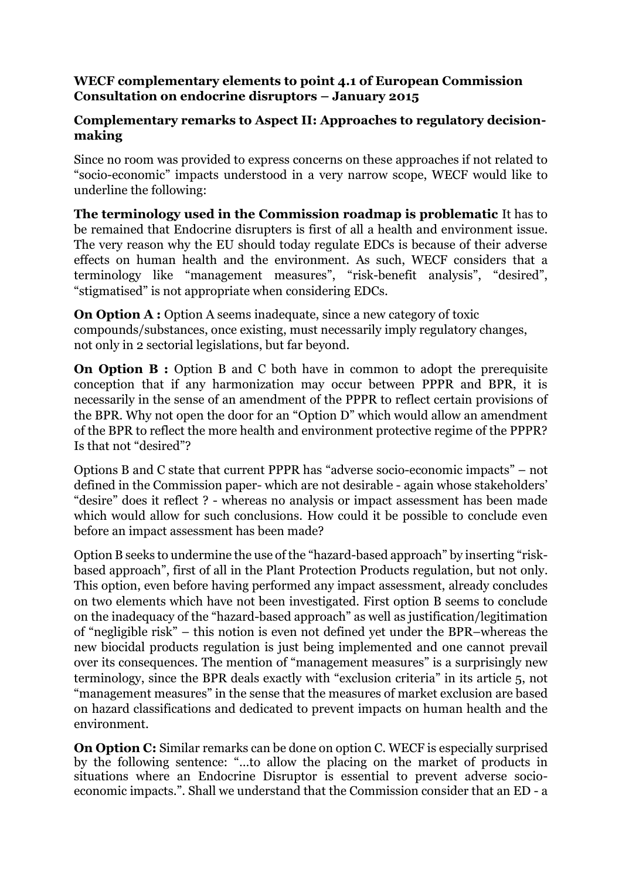## **WECF complementary elements to point 4.1 of European Commission Consultation on endocrine disruptors – January 2015**

## **Complementary remarks to Aspect II: Approaches to regulatory decisionmaking**

Since no room was provided to express concerns on these approaches if not related to "socio-economic" impacts understood in a very narrow scope, WECF would like to underline the following:

**The terminology used in the Commission roadmap is problematic** It has to be remained that Endocrine disrupters is first of all a health and environment issue. The very reason why the EU should today regulate EDCs is because of their adverse effects on human health and the environment. As such, WECF considers that a terminology like "management measures", "risk-benefit analysis", "desired", "stigmatised" is not appropriate when considering EDCs.

**On Option A :** Option A seems inadequate, since a new category of toxic compounds/substances, once existing, must necessarily imply regulatory changes, not only in 2 sectorial legislations, but far beyond.

**On Option B :** Option B and C both have in common to adopt the prerequisite conception that if any harmonization may occur between PPPR and BPR, it is necessarily in the sense of an amendment of the PPPR to reflect certain provisions of the BPR. Why not open the door for an "Option D" which would allow an amendment of the BPR to reflect the more health and environment protective regime of the PPPR? Is that not "desired"?

Options B and C state that current PPPR has "adverse socio-economic impacts" – not defined in the Commission paper- which are not desirable - again whose stakeholders' "desire" does it reflect ? - whereas no analysis or impact assessment has been made which would allow for such conclusions. How could it be possible to conclude even before an impact assessment has been made?

Option B seeks to undermine the use of the "hazard-based approach" by inserting "riskbased approach", first of all in the Plant Protection Products regulation, but not only. This option, even before having performed any impact assessment, already concludes on two elements which have not been investigated. First option B seems to conclude on the inadequacy of the "hazard-based approach" as well as justification/legitimation of "negligible risk" – this notion is even not defined yet under the BPR–whereas the new biocidal products regulation is just being implemented and one cannot prevail over its consequences. The mention of "management measures" is a surprisingly new terminology, since the BPR deals exactly with "exclusion criteria" in its article 5, not "management measures" in the sense that the measures of market exclusion are based on hazard classifications and dedicated to prevent impacts on human health and the environment.

**On Option C:** Similar remarks can be done on option C. WECF is especially surprised by the following sentence: "…to allow the placing on the market of products in situations where an Endocrine Disruptor is essential to prevent adverse socioeconomic impacts.". Shall we understand that the Commission consider that an ED - a